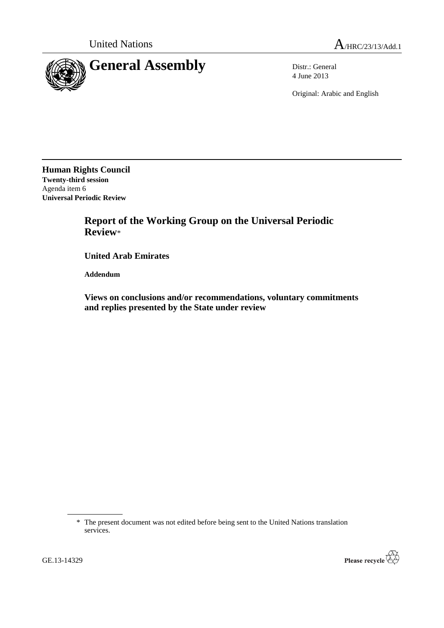

4 June 2013

Original: Arabic and English

**Human Rights Council Twenty-third session** Agenda item 6 **Universal Periodic Review**

> **Report of the Working Group on the Universal Periodic Review**\*

**United Arab Emirates**

**Addendum**

**Views on conclusions and/or recommendations, voluntary commitments and replies presented by the State under review**

\* The present document was not edited before being sent to the United Nations translation services.

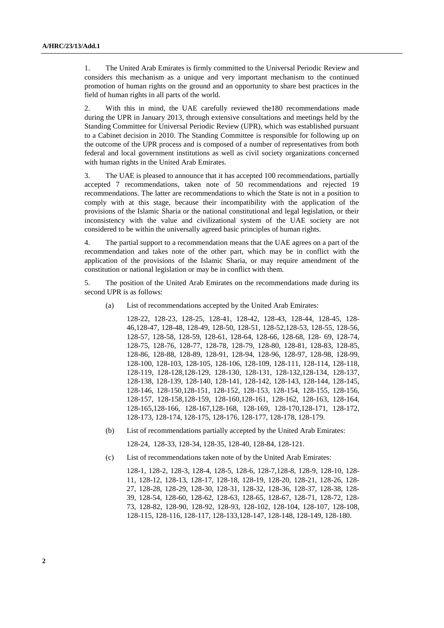1. The United Arab Emirates is firmly committed to the Universal Periodic Review and considers this mechanism as a unique and very important mechanism to the continued promotion of human rights on the ground and an opportunity to share best practices in the field of human rights in all parts of the world.

2. With this in mind, the UAE carefully reviewed the180 recommendations made during the UPR in January 2013, through extensive consultations and meetings held by the Standing Committee for Universal Periodic Review (UPR), which was established pursuant to a Cabinet decision in 2010. The Standing Committee is responsible for following up on the outcome of the UPR process and is composed of a number of representatives from both federal and local government institutions as well as civil society organizations concerned with human rights in the United Arab Emirates.

3. The UAE is pleased to announce that it has accepted 100 recommendations, partially accepted 7 recommendations, taken note of 50 recommendations and rejected 19 recommendations. The latter are recommendations to which the State is not in a position to comply with at this stage, because their incompatibility with the application of the provisions of the Islamic Sharia or the national constitutional and legal legislation, or their inconsistency with the value and civilizational system of the UAE society are not considered to be within the universally agreed basic principles of human rights.

4. The partial support to a recommendation means that the UAE agrees on a part of the recommendation and takes note of the other part, which may be in conflict with the application of the provisions of the Islamic Sharia, or may require amendment of the constitution or national legislation or may be in conflict with them.

5. The position of the United Arab Emirates on the recommendations made during its second UPR is as follows:

(a) List of recommendations accepted by the United Arab Emirates:

128-22, 128-23, 128-25, 128-41, 128-42, 128-43, 128-44, 128-45, 128- 46,128-47, 128-48, 128-49, 128-50, 128-51, 128-52,128-53, 128-55, 128-56, 128-57, 128-58, 128-59, 128-61, 128-64, 128-66, 128-68, 128- 69, 128-74, 128-75, 128-76, 128-77, 128-78, 128-79, 128-80, 128-81, 128-83, 128-85, 128-86, 128-88, 128-89, 128-91, 128-94, 128-96, 128-97, 128-98, 128-99, 128-100, 128-103, 128-105, 128-106, 128-109, 128-111, 128-114, 128-118, 128-119, 128-128,128-129, 128-130, 128-131, 128-132,128-134, 128-137, 128-138, 128-139, 128-140, 128-141, 128-142, 128-143, 128-144, 128-145, 128-146, 128-150,128-151, 128-152, 128-153, 128-154, 128-155, 128-156, 128-157, 128-158,128-159, 128-160,128-161, 128-162, 128-163, 128-164, 128-165,128-166, 128-167,128-168, 128-169, 128-170,128-171, 128-172, 128-173, 128-174, 128-175, 128-176, 128-177, 128-178, 128-179.

(b) List of recommendations partially accepted by the United Arab Emirates:

128-24, 128-33, 128-34, 128-35, 128-40, 128-84, 128-121.

(c) List of recommendations taken note of by the United Arab Emirates:

128-1, 128-2, 128-3, 128-4, 128-5, 128-6, 128-7,128-8, 128-9, 128-10, 128- 11, 128-12, 128-13, 128-17, 128-18, 128-19, 128-20, 128-21, 128-26, 128- 27, 128-28, 128-29, 128-30, 128-31, 128-32, 128-36, 128-37, 128-38, 128- 39, 128-54, 128-60, 128-62, 128-63, 128-65, 128-67, 128-71, 128-72, 128- 73, 128-82, 128-90, 128-92, 128-93, 128-102, 128-104, 128-107, 128-108, 128-115, 128-116, 128-117, 128-133,128-147, 128-148, 128-149, 128-180.